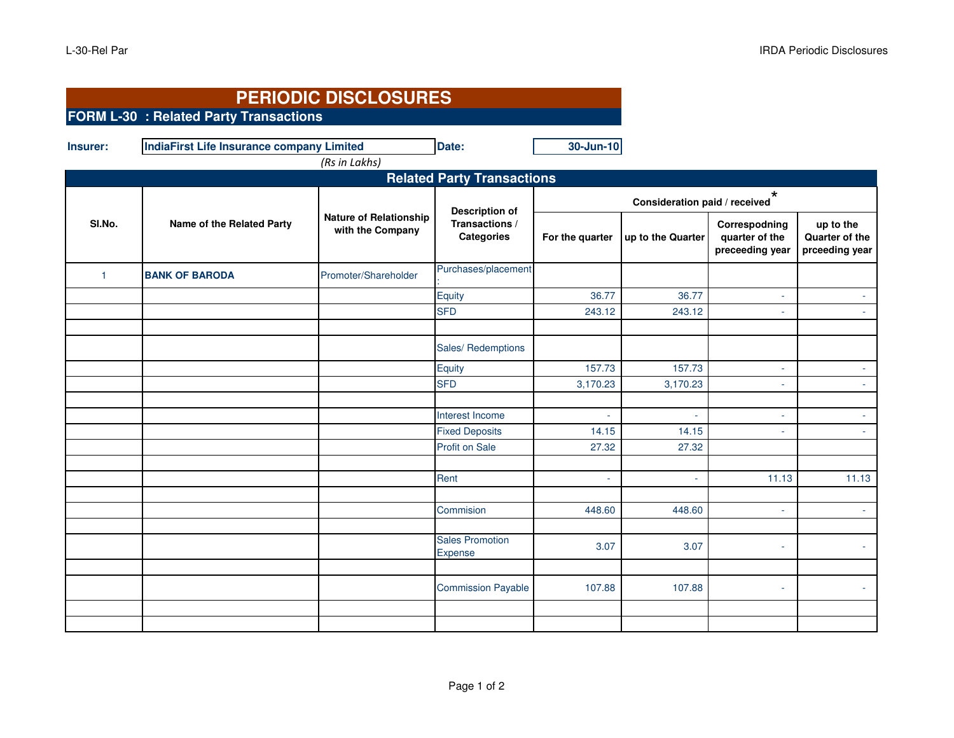| (Rs in Lakhs)<br><b>Related Party Transactions</b><br>$^\star$<br>Consideration paid / received<br><b>Description of</b><br><b>Nature of Relationship</b><br>SI.No.<br>Name of the Related Party<br>Transactions /<br>Correspodning<br>up to the<br>with the Company<br><b>Categories</b><br>For the quarter<br>up to the Quarter<br>quarter of the<br>preceeding year<br>Purchases/placement<br>Promoter/Shareholder<br><b>BANK OF BARODA</b><br>$\overline{1}$<br>Equity<br>36.77<br>36.77<br>$\omega$<br><b>SFD</b><br>243.12<br>243.12<br>Sales/Redemptions<br>Equity<br>157.73<br>157.73<br>÷.<br><b>SFD</b><br>3,170.23<br>3,170.23<br>$\sim$<br>Interest Income<br>u,<br>÷.<br><b>Fixed Deposits</b><br>14.15<br>14.15<br>$\sim$<br>Profit on Sale<br>27.32<br>27.32<br>11.13<br>Rent<br>ä,<br>Commision<br>448.60<br>448.60<br>$\sim$<br>٠<br><b>Sales Promotion</b><br>3.07<br>3.07<br>$\sim$<br>Expense<br><b>Commission Payable</b><br>107.88<br>107.88<br>$\sim$ | Insurer: | <b>IndiaFirst Life Insurance company Limited</b> | Date: | 30-Jun-10 |  |  |                                  |
|------------------------------------------------------------------------------------------------------------------------------------------------------------------------------------------------------------------------------------------------------------------------------------------------------------------------------------------------------------------------------------------------------------------------------------------------------------------------------------------------------------------------------------------------------------------------------------------------------------------------------------------------------------------------------------------------------------------------------------------------------------------------------------------------------------------------------------------------------------------------------------------------------------------------------------------------------------------------------|----------|--------------------------------------------------|-------|-----------|--|--|----------------------------------|
|                                                                                                                                                                                                                                                                                                                                                                                                                                                                                                                                                                                                                                                                                                                                                                                                                                                                                                                                                                              |          |                                                  |       |           |  |  |                                  |
|                                                                                                                                                                                                                                                                                                                                                                                                                                                                                                                                                                                                                                                                                                                                                                                                                                                                                                                                                                              |          |                                                  |       |           |  |  |                                  |
|                                                                                                                                                                                                                                                                                                                                                                                                                                                                                                                                                                                                                                                                                                                                                                                                                                                                                                                                                                              |          |                                                  |       |           |  |  | Quarter of the<br>prceeding year |
|                                                                                                                                                                                                                                                                                                                                                                                                                                                                                                                                                                                                                                                                                                                                                                                                                                                                                                                                                                              |          |                                                  |       |           |  |  |                                  |
|                                                                                                                                                                                                                                                                                                                                                                                                                                                                                                                                                                                                                                                                                                                                                                                                                                                                                                                                                                              |          |                                                  |       |           |  |  |                                  |
|                                                                                                                                                                                                                                                                                                                                                                                                                                                                                                                                                                                                                                                                                                                                                                                                                                                                                                                                                                              |          |                                                  |       |           |  |  |                                  |
|                                                                                                                                                                                                                                                                                                                                                                                                                                                                                                                                                                                                                                                                                                                                                                                                                                                                                                                                                                              |          |                                                  |       |           |  |  |                                  |
|                                                                                                                                                                                                                                                                                                                                                                                                                                                                                                                                                                                                                                                                                                                                                                                                                                                                                                                                                                              |          |                                                  |       |           |  |  |                                  |
|                                                                                                                                                                                                                                                                                                                                                                                                                                                                                                                                                                                                                                                                                                                                                                                                                                                                                                                                                                              |          |                                                  |       |           |  |  |                                  |
|                                                                                                                                                                                                                                                                                                                                                                                                                                                                                                                                                                                                                                                                                                                                                                                                                                                                                                                                                                              |          |                                                  |       |           |  |  |                                  |
|                                                                                                                                                                                                                                                                                                                                                                                                                                                                                                                                                                                                                                                                                                                                                                                                                                                                                                                                                                              |          |                                                  |       |           |  |  |                                  |
|                                                                                                                                                                                                                                                                                                                                                                                                                                                                                                                                                                                                                                                                                                                                                                                                                                                                                                                                                                              |          |                                                  |       |           |  |  |                                  |
|                                                                                                                                                                                                                                                                                                                                                                                                                                                                                                                                                                                                                                                                                                                                                                                                                                                                                                                                                                              |          |                                                  |       |           |  |  | 11.13                            |
|                                                                                                                                                                                                                                                                                                                                                                                                                                                                                                                                                                                                                                                                                                                                                                                                                                                                                                                                                                              |          |                                                  |       |           |  |  |                                  |
|                                                                                                                                                                                                                                                                                                                                                                                                                                                                                                                                                                                                                                                                                                                                                                                                                                                                                                                                                                              |          |                                                  |       |           |  |  |                                  |
|                                                                                                                                                                                                                                                                                                                                                                                                                                                                                                                                                                                                                                                                                                                                                                                                                                                                                                                                                                              |          |                                                  |       |           |  |  |                                  |
|                                                                                                                                                                                                                                                                                                                                                                                                                                                                                                                                                                                                                                                                                                                                                                                                                                                                                                                                                                              |          |                                                  |       |           |  |  |                                  |
|                                                                                                                                                                                                                                                                                                                                                                                                                                                                                                                                                                                                                                                                                                                                                                                                                                                                                                                                                                              |          |                                                  |       |           |  |  |                                  |
|                                                                                                                                                                                                                                                                                                                                                                                                                                                                                                                                                                                                                                                                                                                                                                                                                                                                                                                                                                              |          |                                                  |       |           |  |  |                                  |